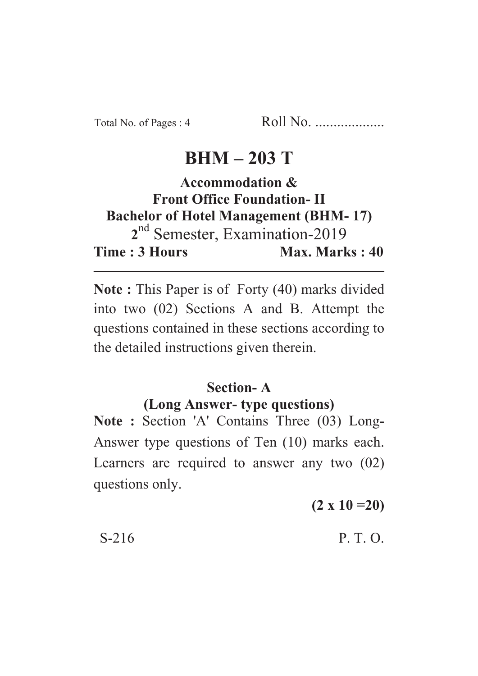## **BHM – 203 T**

## **Accommodation & Front Office Foundation- II Bachelor of Hotel Management (BHM- 17)** 2<sup>nd</sup> Semester, Examination-2019 **Time : 3 Hours Max. Marks : 40**

**Note :** This Paper is of Forty (40) marks divided into two (02) Sections A and B. Attempt the questions contained in these sections according to the detailed instructions given therein.

## **Section- A (Long Answer- type questions)**

**Note :** Section 'A' Contains Three (03) Long-Answer type questions of Ten (10) marks each. Learners are required to answer any two (02) questions only.

**(2 x 10 =20)**

 $S-216$  P. T. O.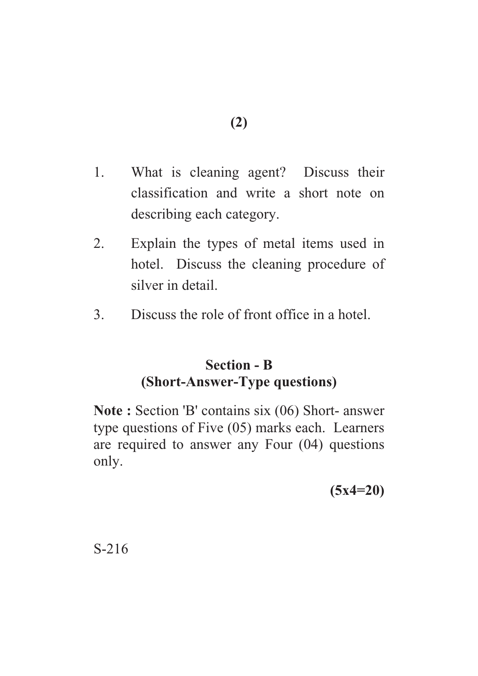- 1. What is cleaning agent? Discuss their classification and write a short note on describing each category.
- 2. Explain the types of metal items used in hotel. Discuss the cleaning procedure of silver in detail.
- 3. Discuss the role of front office in a hotel.

## **Section - B (Short-Answer-Type questions)**

**Note :** Section 'B' contains six (06) Short- answer type questions of Five (05) marks each. Learners are required to answer any Four (04) questions only.

**(5x4=20)**

S-216